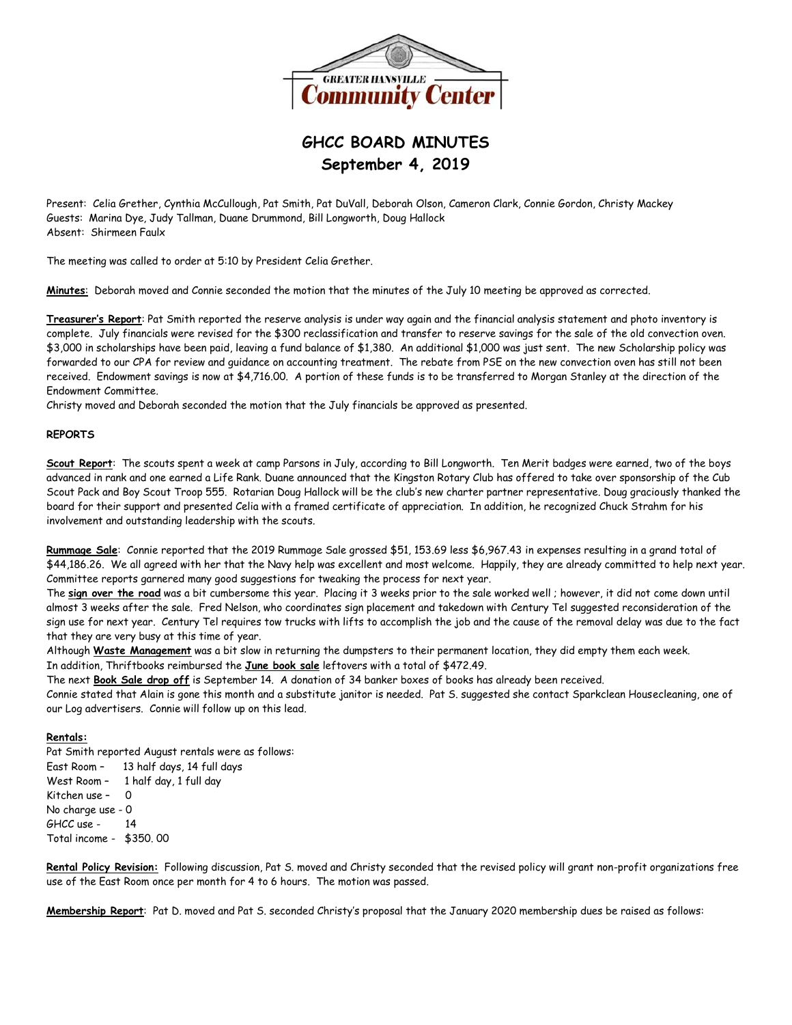

# **GHCC BOARD MINUTES September 4, 2019**

Present: Celia Grether, Cynthia McCullough, Pat Smith, Pat DuVall, Deborah Olson, Cameron Clark, Connie Gordon, Christy Mackey Guests: Marina Dye, Judy Tallman, Duane Drummond, Bill Longworth, Doug Hallock Absent: Shirmeen Faulx

The meeting was called to order at 5:10 by President Celia Grether.

**Minutes**: Deborah moved and Connie seconded the motion that the minutes of the July 10 meeting be approved as corrected.

**Treasurer's Report**: Pat Smith reported the reserve analysis is under way again and the financial analysis statement and photo inventory is complete. July financials were revised for the \$300 reclassification and transfer to reserve savings for the sale of the old convection oven. \$3,000 in scholarships have been paid, leaving a fund balance of \$1,380. An additional \$1,000 was just sent. The new Scholarship policy was forwarded to our CPA for review and guidance on accounting treatment. The rebate from PSE on the new convection oven has still not been received. Endowment savings is now at \$4,716.00. A portion of these funds is to be transferred to Morgan Stanley at the direction of the Endowment Committee.

Christy moved and Deborah seconded the motion that the July financials be approved as presented.

## **REPORTS**

**Scout Report**: The scouts spent a week at camp Parsons in July, according to Bill Longworth. Ten Merit badges were earned, two of the boys advanced in rank and one earned a Life Rank. Duane announced that the Kingston Rotary Club has offered to take over sponsorship of the Cub Scout Pack and Boy Scout Troop 555. Rotarian Doug Hallock will be the club's new charter partner representative. Doug graciously thanked the board for their support and presented Celia with a framed certificate of appreciation. In addition, he recognized Chuck Strahm for his involvement and outstanding leadership with the scouts.

**Rummage Sale**: Connie reported that the 2019 Rummage Sale grossed \$51, 153.69 less \$6,967.43 in expenses resulting in a grand total of \$44,186.26. We all agreed with her that the Navy help was excellent and most welcome. Happily, they are already committed to help next year. Committee reports garnered many good suggestions for tweaking the process for next year.

The **sign over the road** was a bit cumbersome this year. Placing it 3 weeks prior to the sale worked well ; however, it did not come down until almost 3 weeks after the sale. Fred Nelson, who coordinates sign placement and takedown with Century Tel suggested reconsideration of the sign use for next year. Century Tel requires tow trucks with lifts to accomplish the job and the cause of the removal delay was due to the fact that they are very busy at this time of year.

Although **Waste Management** was a bit slow in returning the dumpsters to their permanent location, they did empty them each week. In addition, Thriftbooks reimbursed the **June book sale** leftovers with a total of \$472.49.

The next **Book Sale drop off** is September 14. A donation of 34 banker boxes of books has already been received.

Connie stated that Alain is gone this month and a substitute janitor is needed. Pat S. suggested she contact Sparkclean Housecleaning, one of our Log advertisers. Connie will follow up on this lead.

#### **Rentals:**

Pat Smith reported August rentals were as follows: East Room – 13 half days, 14 full days West Room – 1 half day, 1 full day Kitchen use – 0 No charge use - 0 GHCC use - 14 Total income - \$350. 00

**Rental Policy Revision:** Following discussion, Pat S. moved and Christy seconded that the revised policy will grant non-profit organizations free use of the East Room once per month for 4 to 6 hours. The motion was passed.

**Membership Report**: Pat D. moved and Pat S. seconded Christy's proposal that the January 2020 membership dues be raised as follows: